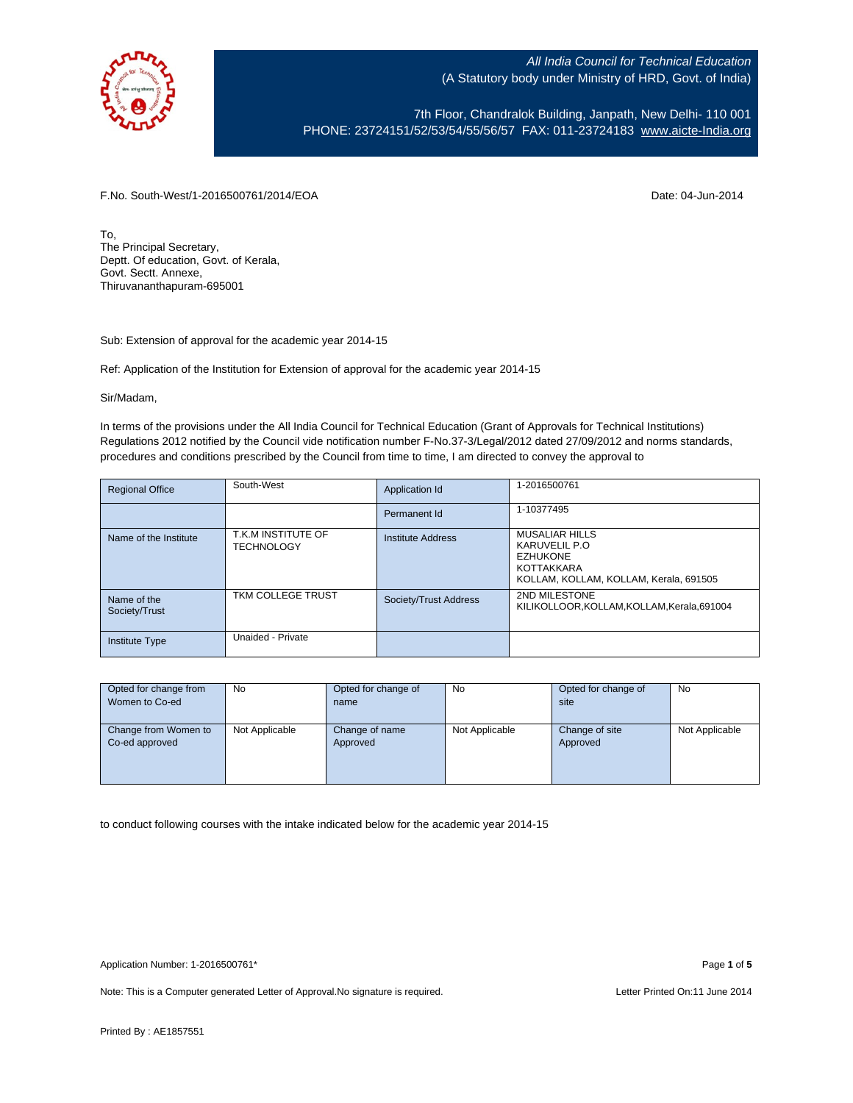

7th Floor, Chandralok Building, Janpath, New Delhi- 110 001 PHONE: 23724151/52/53/54/55/56/57 FAX: 011-23724183 [www.aicte-India.org](http://www.aicte-india.org/)

F.No. South-West/1-2016500761/2014/EOA Date: 04-Jun-2014

To, The Principal Secretary, Deptt. Of education, Govt. of Kerala, Govt. Sectt. Annexe, Thiruvananthapuram-695001

Sub: Extension of approval for the academic year 2014-15

Ref: Application of the Institution for Extension of approval for the academic year 2014-15

Sir/Madam,

In terms of the provisions under the All India Council for Technical Education (Grant of Approvals for Technical Institutions) Regulations 2012 notified by the Council vide notification number F-No.37-3/Legal/2012 dated 27/09/2012 and norms standards, procedures and conditions prescribed by the Council from time to time, I am directed to convey the approval to

| <b>Regional Office</b>       | South-West                              | Application Id           | 1-2016500761                                                                                                       |
|------------------------------|-----------------------------------------|--------------------------|--------------------------------------------------------------------------------------------------------------------|
|                              |                                         | Permanent Id             | 1-10377495                                                                                                         |
| Name of the Institute        | T.K.M INSTITUTE OF<br><b>TECHNOLOGY</b> | <b>Institute Address</b> | <b>MUSALIAR HILLS</b><br>KARUVELIL P.O.<br><b>EZHUKONE</b><br>KOTTAKKARA<br>KOLLAM, KOLLAM, KOLLAM, Kerala, 691505 |
| Name of the<br>Society/Trust | TKM COLLEGE TRUST                       | Society/Trust Address    | 2ND MILESTONE<br>KILIKOLLOOR.KOLLAM.KOLLAM.Kerala.691004                                                           |
| <b>Institute Type</b>        | Unaided - Private                       |                          |                                                                                                                    |

| Opted for change from | No             | Opted for change of | No             | Opted for change of | <b>No</b>      |
|-----------------------|----------------|---------------------|----------------|---------------------|----------------|
| Women to Co-ed        |                | name                |                | site                |                |
|                       |                |                     |                |                     |                |
| Change from Women to  | Not Applicable | Change of name      | Not Applicable | Change of site      | Not Applicable |
| Co-ed approved        |                | Approved            |                | Approved            |                |
|                       |                |                     |                |                     |                |
|                       |                |                     |                |                     |                |
|                       |                |                     |                |                     |                |

to conduct following courses with the intake indicated below for the academic year 2014-15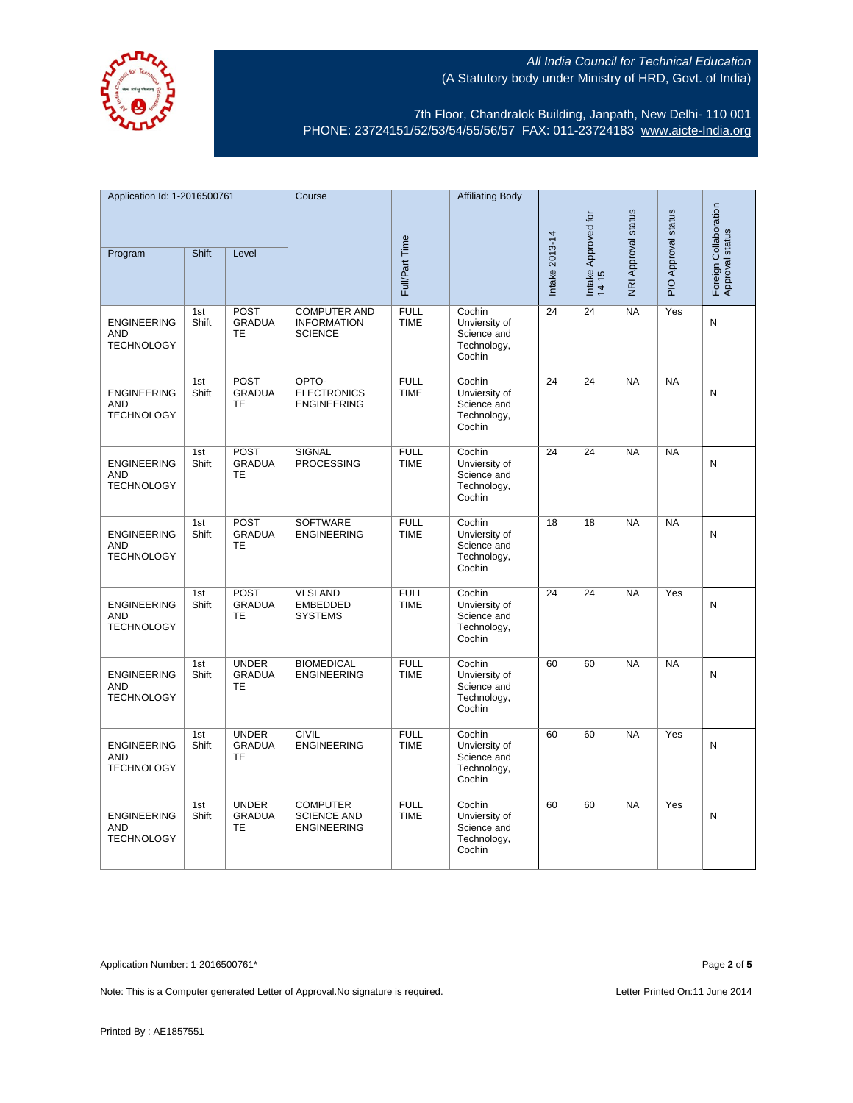

7th Floor, Chandralok Building, Janpath, New Delhi- 110 001 PHONE: 23724151/52/53/54/55/56/57 FAX: 011-23724183 [www.aicte-India.org](http://www.aicte-india.org/)

| Application Id: 1-2016500761                          |              | Course                              |                                                             | <b>Affiliating Body</b>    |                                                                 |                |                              |                     |                     |                                          |
|-------------------------------------------------------|--------------|-------------------------------------|-------------------------------------------------------------|----------------------------|-----------------------------------------------------------------|----------------|------------------------------|---------------------|---------------------|------------------------------------------|
| Program                                               | Shift        | Level                               |                                                             | Full/Part Time             |                                                                 | Intake 2013-14 | Intake Approved for<br>14-15 | NRI Approval status | PIO Approval status | Foreign Collaboration<br>Approval status |
|                                                       |              |                                     |                                                             |                            |                                                                 |                |                              |                     |                     |                                          |
| <b>ENGINEERING</b><br><b>AND</b><br><b>TECHNOLOGY</b> | 1st<br>Shift | POST<br><b>GRADUA</b><br>TE         | <b>COMPUTER AND</b><br><b>INFORMATION</b><br><b>SCIENCE</b> | <b>FULL</b><br><b>TIME</b> | Cochin<br>Unviersity of<br>Science and<br>Technology,<br>Cochin | 24             | 24                           | <b>NA</b>           | Yes                 | N                                        |
| <b>ENGINEERING</b><br><b>AND</b><br><b>TECHNOLOGY</b> | 1st<br>Shift | POST<br><b>GRADUA</b><br><b>TE</b>  | OPTO-<br><b>ELECTRONICS</b><br><b>ENGINEERING</b>           | <b>FULL</b><br><b>TIME</b> | Cochin<br>Unviersity of<br>Science and<br>Technology,<br>Cochin | 24             | 24                           | <b>NA</b>           | <b>NA</b>           | N                                        |
| <b>ENGINEERING</b><br><b>AND</b><br><b>TECHNOLOGY</b> | 1st<br>Shift | <b>POST</b><br><b>GRADUA</b><br>TE  | <b>SIGNAL</b><br><b>PROCESSING</b>                          | <b>FULL</b><br><b>TIME</b> | Cochin<br>Unviersity of<br>Science and<br>Technology,<br>Cochin | 24             | 24                           | <b>NA</b>           | <b>NA</b>           | N                                        |
| <b>ENGINEERING</b><br><b>AND</b><br><b>TECHNOLOGY</b> | 1st<br>Shift | POST<br><b>GRADUA</b><br>TE         | <b>SOFTWARE</b><br><b>ENGINEERING</b>                       | <b>FULL</b><br><b>TIME</b> | Cochin<br>Unviersity of<br>Science and<br>Technology,<br>Cochin | 18             | 18                           | <b>NA</b>           | <b>NA</b>           | N                                        |
| <b>ENGINEERING</b><br><b>AND</b><br><b>TECHNOLOGY</b> | 1st<br>Shift | POST<br><b>GRADUA</b><br>TE         | <b>VLSI AND</b><br><b>EMBEDDED</b><br><b>SYSTEMS</b>        | <b>FULL</b><br><b>TIME</b> | Cochin<br>Unviersity of<br>Science and<br>Technology,<br>Cochin | 24             | $\overline{24}$              | N <sub>A</sub>      | Yes                 | N                                        |
| <b>ENGINEERING</b><br><b>AND</b><br><b>TECHNOLOGY</b> | 1st<br>Shift | <b>UNDER</b><br><b>GRADUA</b><br>TE | <b>BIOMEDICAL</b><br><b>ENGINEERING</b>                     | <b>FULL</b><br><b>TIME</b> | Cochin<br>Unviersity of<br>Science and<br>Technology,<br>Cochin | 60             | 60                           | NA                  | NA                  | N                                        |
| <b>ENGINEERING</b><br><b>AND</b><br><b>TECHNOLOGY</b> | 1st<br>Shift | <b>UNDER</b><br><b>GRADUA</b><br>TE | <b>CIVIL</b><br><b>ENGINEERING</b>                          | <b>FULL</b><br><b>TIME</b> | Cochin<br>Unviersity of<br>Science and<br>Technology,<br>Cochin | 60             | 60                           | <b>NA</b>           | Yes                 | N                                        |
| <b>ENGINEERING</b><br><b>AND</b><br><b>TECHNOLOGY</b> | 1st<br>Shift | <b>UNDER</b><br><b>GRADUA</b><br>TE | <b>COMPUTER</b><br><b>SCIENCE AND</b><br><b>ENGINEERING</b> | <b>FULL</b><br><b>TIME</b> | Cochin<br>Unviersity of<br>Science and<br>Technology,<br>Cochin | 60             | 60                           | <b>NA</b>           | Yes                 | N                                        |

Application Number: 1-2016500761\* Page **2** of **5**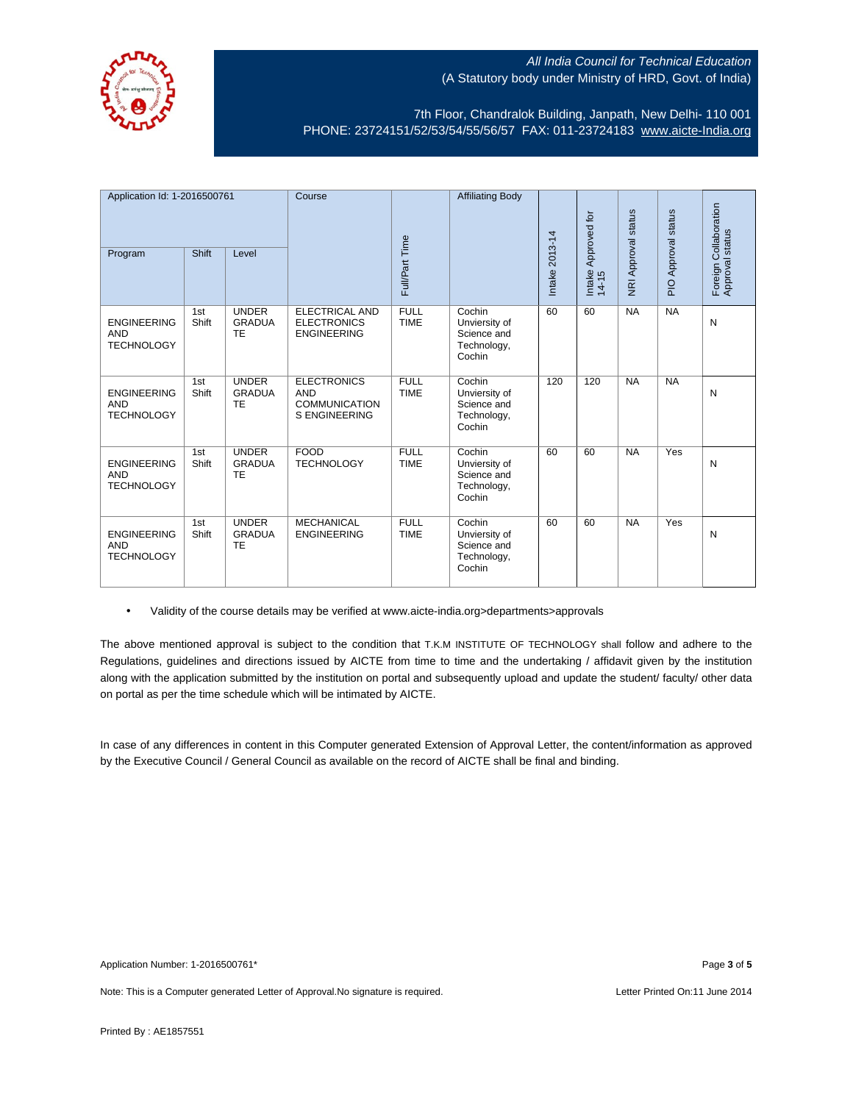

7th Floor, Chandralok Building, Janpath, New Delhi- 110 001 PHONE: 23724151/52/53/54/55/56/57 FAX: 011-23724183 [www.aicte-India.org](http://www.aicte-india.org/)

| Application Id: 1-2016500761<br><b>Shift</b><br>Program<br>Level |              | Course                                     | Full/Part Time                                                                   | <b>Affiliating Body</b>    | Intake 2013-14                                                  | Approved for<br>Intake<br>$14-15$ | NRI Approval status | PIO Approval status | Collaboration<br>Foreign Collabor<br>Approval status |   |
|------------------------------------------------------------------|--------------|--------------------------------------------|----------------------------------------------------------------------------------|----------------------------|-----------------------------------------------------------------|-----------------------------------|---------------------|---------------------|------------------------------------------------------|---|
| <b>ENGINEERING</b><br><b>AND</b><br><b>TECHNOLOGY</b>            | 1st<br>Shift | <b>UNDER</b><br><b>GRADUA</b><br>TE        | <b>ELECTRICAL AND</b><br><b>ELECTRONICS</b><br><b>ENGINEERING</b>                | <b>FULL</b><br><b>TIME</b> | Cochin<br>Unviersity of<br>Science and<br>Technology,<br>Cochin | 60                                | 60                  | <b>NA</b>           | <b>NA</b>                                            | N |
| <b>ENGINEERING</b><br><b>AND</b><br><b>TECHNOLOGY</b>            | 1st<br>Shift | <b>UNDER</b><br><b>GRADUA</b><br><b>TE</b> | <b>ELECTRONICS</b><br><b>AND</b><br><b>COMMUNICATION</b><br><b>S ENGINEERING</b> | <b>FULL</b><br><b>TIME</b> | Cochin<br>Unviersity of<br>Science and<br>Technology,<br>Cochin | 120                               | 120                 | <b>NA</b>           | <b>NA</b>                                            | N |
| <b>ENGINEERING</b><br><b>AND</b><br><b>TECHNOLOGY</b>            | 1st<br>Shift | <b>UNDER</b><br><b>GRADUA</b><br><b>TE</b> | <b>FOOD</b><br><b>TECHNOLOGY</b>                                                 | <b>FULL</b><br><b>TIME</b> | Cochin<br>Unviersity of<br>Science and<br>Technology,<br>Cochin | 60                                | 60                  | <b>NA</b>           | Yes                                                  | N |
| <b>ENGINEERING</b><br><b>AND</b><br><b>TECHNOLOGY</b>            | 1st<br>Shift | <b>UNDER</b><br><b>GRADUA</b><br><b>TE</b> | <b>MECHANICAL</b><br><b>ENGINEERING</b>                                          | <b>FULL</b><br><b>TIME</b> | Cochin<br>Unviersity of<br>Science and<br>Technology,<br>Cochin | 60                                | 60                  | <b>NA</b>           | Yes                                                  | N |

• Validity of the course details may be verified at www.aicte-india.org>departments>approvals

The above mentioned approval is subject to the condition that T.K.M INSTITUTE OF TECHNOLOGY shall follow and adhere to the Regulations, guidelines and directions issued by AICTE from time to time and the undertaking / affidavit given by the institution along with the application submitted by the institution on portal and subsequently upload and update the student/ faculty/ other data on portal as per the time schedule which will be intimated by AICTE.

In case of any differences in content in this Computer generated Extension of Approval Letter, the content/information as approved by the Executive Council / General Council as available on the record of AICTE shall be final and binding.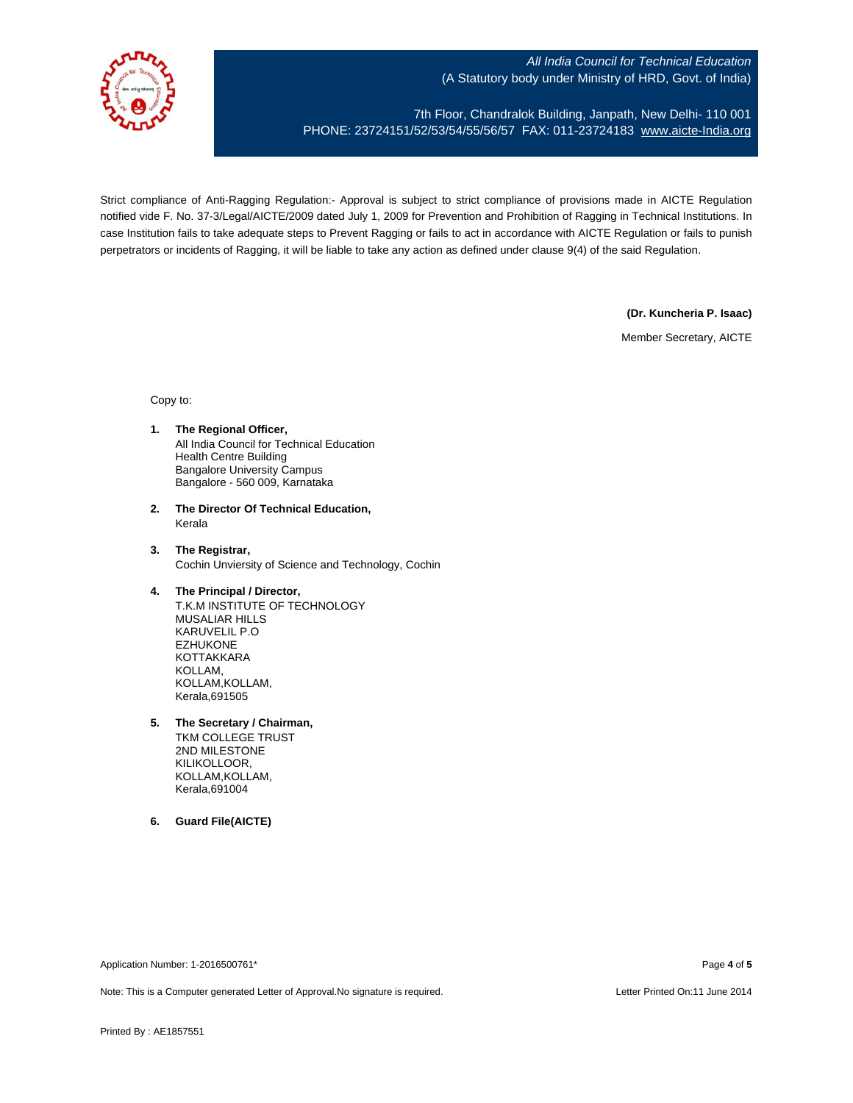

7th Floor, Chandralok Building, Janpath, New Delhi- 110 001 PHONE: 23724151/52/53/54/55/56/57 FAX: 011-23724183 [www.aicte-India.org](http://www.aicte-india.org/)

Strict compliance of Anti-Ragging Regulation:- Approval is subject to strict compliance of provisions made in AICTE Regulation notified vide F. No. 37-3/Legal/AICTE/2009 dated July 1, 2009 for Prevention and Prohibition of Ragging in Technical Institutions. In case Institution fails to take adequate steps to Prevent Ragging or fails to act in accordance with AICTE Regulation or fails to punish perpetrators or incidents of Ragging, it will be liable to take any action as defined under clause 9(4) of the said Regulation.

**(Dr. Kuncheria P. Isaac)**

Member Secretary, AICTE

Copy to:

- **1. The Regional Officer,** All India Council for Technical Education Health Centre Building Bangalore University Campus Bangalore - 560 009, Karnataka
- **2. The Director Of Technical Education,** Kerala
- **3. The Registrar,** Cochin Unviersity of Science and Technology, Cochin
- **4. The Principal / Director,** T.K.M INSTITUTE OF TECHNOLOGY MUSALIAR HILLS KARUVELIL P.O EZHUKONE KOTTAKKARA KOLLAM,
	- KOLLAM,KOLLAM, Kerala,691505
- **5. The Secretary / Chairman,**
	- TKM COLLEGE TRUST 2ND MILESTONE KILIKOLLOOR, KOLLAM,KOLLAM, Kerala,691004
- **6. Guard File(AICTE)**